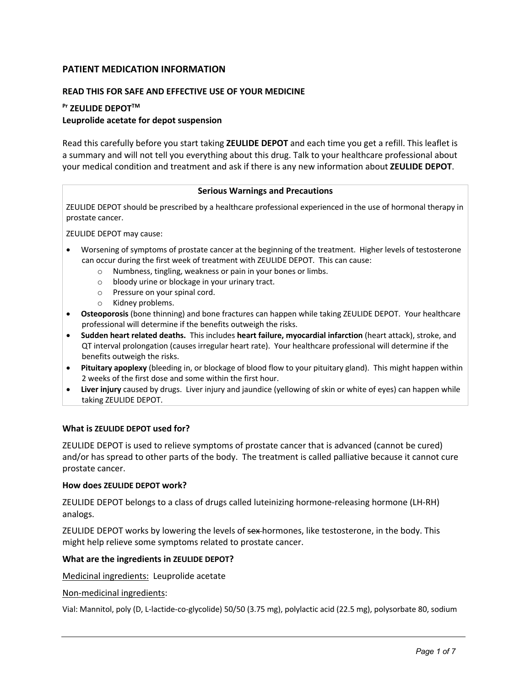## **PATIENT MEDICATION INFORMATION**

### **READ THIS FOR SAFE AND EFFECTIVE USE OF YOUR MEDICINE**

# **Pr ZEULIDE DEPOTTM Leuprolide acetate for depot suspension**

Read this carefully before you start taking **ZEULIDE DEPOT** and each time you get a refill. This leaflet is a summary and will not tell you everything about this drug. Talk to your healthcare professional about your medical condition and treatment and ask if there is any new information about **ZEULIDE DEPOT**.

#### **Serious Warnings and Precautions**

ZEULIDE DEPOT should be prescribed by a healthcare professional experienced in the use of hormonal therapy in prostate cancer.

ZEULIDE DEPOT may cause:

- Worsening of symptoms of prostate cancer at the beginning of the treatment. Higher levels of testosterone can occur during the first week of treatment with ZEULIDE DEPOT. This can cause:
	- o Numbness, tingling, weakness or pain in your bones or limbs.
	- o bloody urine or blockage in your urinary tract.
	- o Pressure on your spinal cord.
	- o Kidney problems.
- **Osteoporosis** (bone thinning) and bone fractures can happen while taking ZEULIDE DEPOT. Your healthcare professional will determine if the benefits outweigh the risks.
- **Sudden heart related deaths.** This includes **heart failure, myocardial infarction** (heart attack), stroke, and QT interval prolongation (causes irregular heart rate). Your healthcare professional will determine if the benefits outweigh the risks.
- **Pituitary apoplexy** (bleeding in, or blockage of blood flow to your pituitary gland). This might happen within 2 weeks of the first dose and some within the first hour.
- **Liver injury** caused by drugs. Liver injury and jaundice (yellowing of skin or white of eyes) can happen while taking ZEULIDE DEPOT.

#### **What is ZEULIDE DEPOT used for?**

ZEULIDE DEPOT is used to relieve symptoms of prostate cancer that is advanced (cannot be cured) and/or has spread to other parts of the body. The treatment is called palliative because it cannot cure prostate cancer.

#### **How does ZEULIDE DEPOT work?**

ZEULIDE DEPOT belongs to a class of drugs called luteinizing hormone-releasing hormone (LH-RH) analogs.

ZEULIDE DEPOT works by lowering the levels of sex-hormones, like testosterone, in the body. This might help relieve some symptoms related to prostate cancer.

#### **What are the ingredients in ZEULIDE DEPOT?**

Medicinal ingredients:Leuprolide acetate

#### Non-medicinal ingredients:

Vial: Mannitol, poly (D, L-lactide-co-glycolide) 50/50 (3.75 mg), polylactic acid (22.5 mg), polysorbate 80, sodium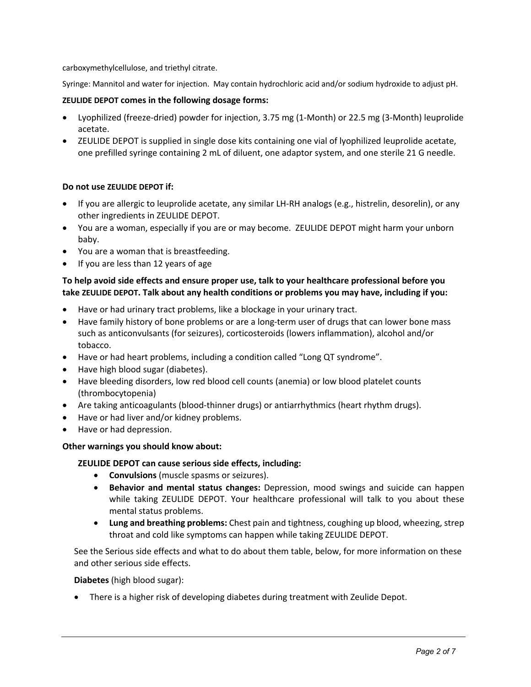carboxymethylcellulose, and triethyl citrate.

Syringe: Mannitol and water for injection. May contain hydrochloric acid and/or sodium hydroxide to adjust pH.

## **ZEULIDE DEPOT comes in the following dosage forms:**

- Lyophilized (freeze-dried) powder for injection, 3.75 mg (1-Month) or 22.5 mg (3-Month) leuprolide acetate.
- ZEULIDE DEPOT is supplied in single dose kits containing one vial of lyophilized leuprolide acetate, one prefilled syringe containing 2 mL of diluent, one adaptor system, and one sterile 21 G needle.

## **Do not use ZEULIDE DEPOT if:**

- If you are allergic to leuprolide acetate, any similar LH-RH analogs (e.g., histrelin, desorelin), or any other ingredients in ZEULIDE DEPOT.
- You are a woman, especially if you are or may become. ZEULIDE DEPOT might harm your unborn baby.
- You are a woman that is breastfeeding.
- If you are less than 12 years of age

## **To help avoid side effects and ensure proper use, talk to your healthcare professional before you take ZEULIDE DEPOT. Talk about any health conditions or problems you may have, including if you:**

- Have or had urinary tract problems, like a blockage in your urinary tract.
- Have family history of bone problems or are a long-term user of drugs that can lower bone mass such as anticonvulsants (for seizures), corticosteroids (lowers inflammation), alcohol and/or tobacco.
- Have or had heart problems, including a condition called "Long QT syndrome".
- Have high blood sugar (diabetes).
- Have bleeding disorders, low red blood cell counts (anemia) or low blood platelet counts (thrombocytopenia)
- Are taking anticoagulants (blood-thinner drugs) or antiarrhythmics (heart rhythm drugs).
- Have or had liver and/or kidney problems.
- Have or had depression.

## **Other warnings you should know about:**

## **ZEULIDE DEPOT can cause serious side effects, including:**

- **Convulsions** (muscle spasms or seizures).
- **Behavior and mental status changes:** Depression, mood swings and suicide can happen while taking ZEULIDE DEPOT. Your healthcare professional will talk to you about these mental status problems.
- **Lung and breathing problems:** Chest pain and tightness, coughing up blood, wheezing, strep throat and cold like symptoms can happen while taking ZEULIDE DEPOT.

See the Serious side effects and what to do about them table, below, for more information on these and other serious side effects.

**Diabetes** (high blood sugar):

• There is a higher risk of developing diabetes during treatment with Zeulide Depot.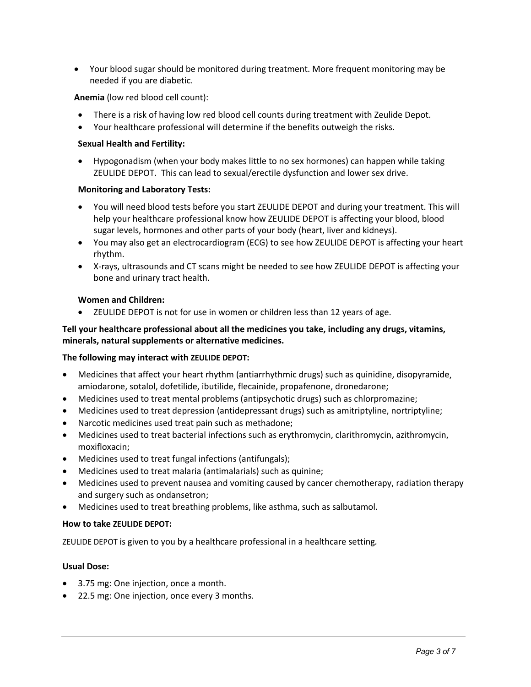• Your blood sugar should be monitored during treatment. More frequent monitoring may be needed if you are diabetic.

## **Anemia** (low red blood cell count):

- There is a risk of having low red blood cell counts during treatment with Zeulide Depot.
- Your healthcare professional will determine if the benefits outweigh the risks.

#### **Sexual Health and Fertility:**

• Hypogonadism (when your body makes little to no sex hormones) can happen while taking ZEULIDE DEPOT. This can lead to sexual/erectile dysfunction and lower sex drive.

#### **Monitoring and Laboratory Tests:**

- You will need blood tests before you start ZEULIDE DEPOT and during your treatment. This will help your healthcare professional know how ZEULIDE DEPOT is affecting your blood, blood sugar levels, hormones and other parts of your body (heart, liver and kidneys).
- You may also get an electrocardiogram (ECG) to see how ZEULIDE DEPOT is affecting your heart rhythm.
- X-rays, ultrasounds and CT scans might be needed to see how ZEULIDE DEPOT is affecting your bone and urinary tract health.

#### **Women and Children:**

• ZEULIDE DEPOT is not for use in women or children less than 12 years of age.

## **Tell your healthcare professional about all the medicines you take, including any drugs, vitamins, minerals, natural supplements or alternative medicines.**

#### **The following may interact with ZEULIDE DEPOT:**

- Medicines that affect your heart rhythm (antiarrhythmic drugs) such as quinidine, disopyramide, amiodarone, sotalol, dofetilide, ibutilide, flecainide, propafenone, dronedarone;
- Medicines used to treat mental problems (antipsychotic drugs) such as chlorpromazine;
- Medicines used to treat depression (antidepressant drugs) such as amitriptyline, nortriptyline;
- Narcotic medicines used treat pain such as methadone;
- Medicines used to treat bacterial infections such as erythromycin, clarithromycin, azithromycin, moxifloxacin;
- Medicines used to treat fungal infections (antifungals);
- Medicines used to treat malaria (antimalarials) such as quinine;
- Medicines used to prevent nausea and vomiting caused by cancer chemotherapy, radiation therapy and surgery such as ondansetron;
- Medicines used to treat breathing problems, like asthma, such as salbutamol.

#### **How to take ZEULIDE DEPOT:**

ZEULIDE DEPOT is given to you by a healthcare professional in a healthcare setting*.*

#### **Usual Dose:**

- 3.75 mg: One injection, once a month.
- 22.5 mg: One injection, once every 3 months.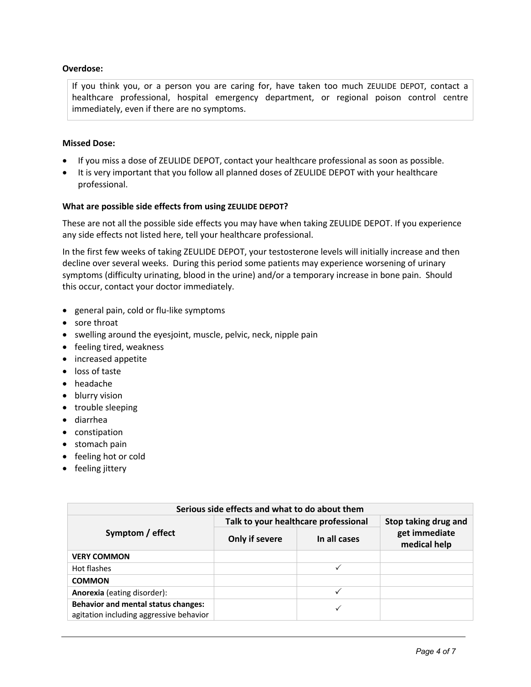## **Overdose:**

If you think you, or a person you are caring for, have taken too much ZEULIDE DEPOT, contact a healthcare professional, hospital emergency department, or regional poison control centre immediately, even if there are no symptoms.

## **Missed Dose:**

- If you miss a dose of ZEULIDE DEPOT, contact your healthcare professional as soon as possible.
- It is very important that you follow all planned doses of ZEULIDE DEPOT with your healthcare professional.

#### **What are possible side effects from using ZEULIDE DEPOT?**

These are not all the possible side effects you may have when taking ZEULIDE DEPOT. If you experience any side effects not listed here, tell your healthcare professional.

In the first few weeks of taking ZEULIDE DEPOT, your testosterone levels will initially increase and then decline over several weeks. During this period some patients may experience worsening of urinary symptoms (difficulty urinating, blood in the urine) and/or a temporary increase in bone pain. Should this occur, contact your doctor immediately.

- general pain, cold or flu-like symptoms
- sore throat
- swelling around the eyesjoint, muscle, pelvic, neck, nipple pain
- feeling tired, weakness
- increased appetite
- loss of taste
- headache
- blurry vision
- trouble sleeping
- diarrhea
- constipation
- stomach pain
- feeling hot or cold
- feeling jittery

| Serious side effects and what to do about them                                        |                                      |              |                               |  |  |
|---------------------------------------------------------------------------------------|--------------------------------------|--------------|-------------------------------|--|--|
| Symptom / effect                                                                      | Talk to your healthcare professional |              | Stop taking drug and          |  |  |
|                                                                                       | Only if severe                       | In all cases | get immediate<br>medical help |  |  |
| <b>VERY COMMON</b>                                                                    |                                      |              |                               |  |  |
| Hot flashes                                                                           |                                      |              |                               |  |  |
| <b>COMMON</b>                                                                         |                                      |              |                               |  |  |
| <b>Anorexia</b> (eating disorder):                                                    |                                      | ✓            |                               |  |  |
| <b>Behavior and mental status changes:</b><br>agitation including aggressive behavior |                                      |              |                               |  |  |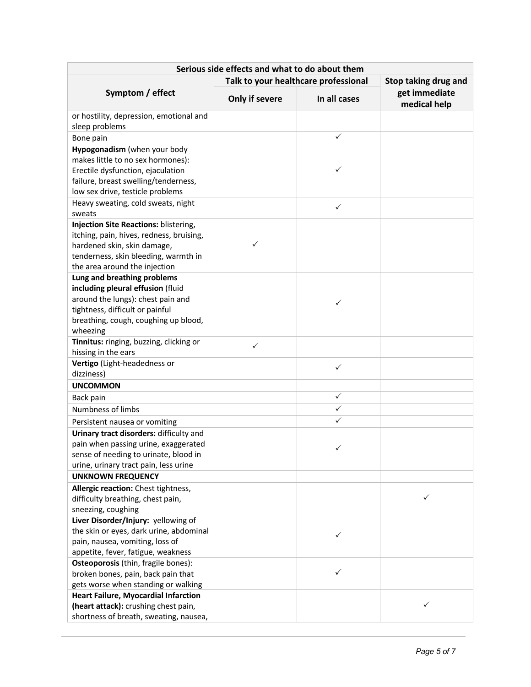| Serious side effects and what to do about them                                                                                                                                            |                                                              |              |                               |  |  |  |
|-------------------------------------------------------------------------------------------------------------------------------------------------------------------------------------------|--------------------------------------------------------------|--------------|-------------------------------|--|--|--|
|                                                                                                                                                                                           | Talk to your healthcare professional<br>Stop taking drug and |              |                               |  |  |  |
| Symptom / effect                                                                                                                                                                          | Only if severe                                               | In all cases | get immediate<br>medical help |  |  |  |
| or hostility, depression, emotional and<br>sleep problems                                                                                                                                 |                                                              |              |                               |  |  |  |
| Bone pain                                                                                                                                                                                 |                                                              | $\checkmark$ |                               |  |  |  |
| Hypogonadism (when your body                                                                                                                                                              |                                                              |              |                               |  |  |  |
| makes little to no sex hormones):<br>Erectile dysfunction, ejaculation<br>failure, breast swelling/tenderness,<br>low sex drive, testicle problems                                        |                                                              | ✓            |                               |  |  |  |
| Heavy sweating, cold sweats, night                                                                                                                                                        |                                                              |              |                               |  |  |  |
| sweats                                                                                                                                                                                    |                                                              | $\checkmark$ |                               |  |  |  |
| Injection Site Reactions: blistering,<br>itching, pain, hives, redness, bruising,<br>hardened skin, skin damage,<br>tenderness, skin bleeding, warmth in<br>the area around the injection | ✓                                                            |              |                               |  |  |  |
| Lung and breathing problems                                                                                                                                                               |                                                              |              |                               |  |  |  |
| including pleural effusion (fluid                                                                                                                                                         |                                                              |              |                               |  |  |  |
| around the lungs): chest pain and                                                                                                                                                         |                                                              | ✓            |                               |  |  |  |
| tightness, difficult or painful<br>breathing, cough, coughing up blood,                                                                                                                   |                                                              |              |                               |  |  |  |
| wheezing                                                                                                                                                                                  |                                                              |              |                               |  |  |  |
| Tinnitus: ringing, buzzing, clicking or<br>hissing in the ears                                                                                                                            | $\checkmark$                                                 |              |                               |  |  |  |
| Vertigo (Light-headedness or                                                                                                                                                              |                                                              | ✓            |                               |  |  |  |
| dizziness)                                                                                                                                                                                |                                                              |              |                               |  |  |  |
| <b>UNCOMMON</b>                                                                                                                                                                           |                                                              |              |                               |  |  |  |
| Back pain                                                                                                                                                                                 |                                                              | $\checkmark$ |                               |  |  |  |
| Numbness of limbs                                                                                                                                                                         |                                                              | ✓            |                               |  |  |  |
| Persistent nausea or vomiting                                                                                                                                                             |                                                              | $\checkmark$ |                               |  |  |  |
| Urinary tract disorders: difficulty and                                                                                                                                                   |                                                              |              |                               |  |  |  |
| pain when passing urine, exaggerated<br>sense of needing to urinate, blood in<br>urine, urinary tract pain, less urine                                                                    |                                                              | ✓            |                               |  |  |  |
| <b>UNKNOWN FREQUENCY</b>                                                                                                                                                                  |                                                              |              |                               |  |  |  |
| Allergic reaction: Chest tightness,                                                                                                                                                       |                                                              |              |                               |  |  |  |
| difficulty breathing, chest pain,<br>sneezing, coughing                                                                                                                                   |                                                              |              | ✓                             |  |  |  |
| Liver Disorder/Injury: yellowing of                                                                                                                                                       |                                                              |              |                               |  |  |  |
| the skin or eyes, dark urine, abdominal                                                                                                                                                   |                                                              | ✓            |                               |  |  |  |
| pain, nausea, vomiting, loss of                                                                                                                                                           |                                                              |              |                               |  |  |  |
| appetite, fever, fatigue, weakness                                                                                                                                                        |                                                              |              |                               |  |  |  |
| Osteoporosis (thin, fragile bones):                                                                                                                                                       |                                                              |              |                               |  |  |  |
| broken bones, pain, back pain that                                                                                                                                                        |                                                              | ✓            |                               |  |  |  |
| gets worse when standing or walking                                                                                                                                                       |                                                              |              |                               |  |  |  |
| <b>Heart Failure, Myocardial Infarction</b><br>(heart attack): crushing chest pain,                                                                                                       |                                                              |              | ✓                             |  |  |  |
| shortness of breath, sweating, nausea,                                                                                                                                                    |                                                              |              |                               |  |  |  |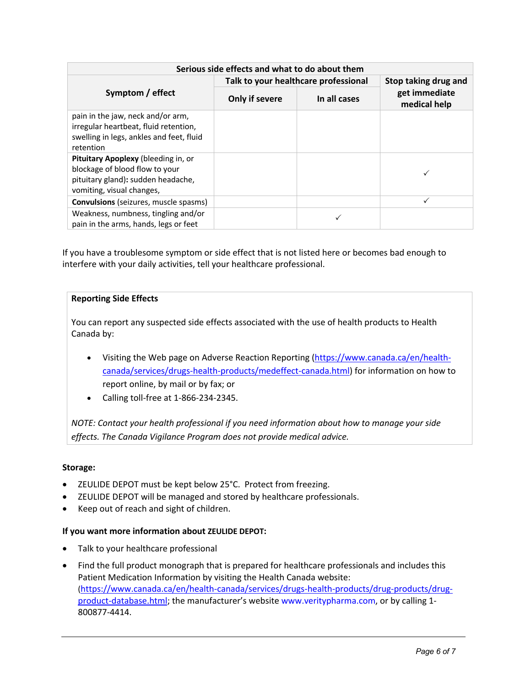| Serious side effects and what to do about them                                                                                           |                                      |              |                               |  |  |
|------------------------------------------------------------------------------------------------------------------------------------------|--------------------------------------|--------------|-------------------------------|--|--|
| Symptom / effect                                                                                                                         | Talk to your healthcare professional |              | Stop taking drug and          |  |  |
|                                                                                                                                          | Only if severe                       | In all cases | get immediate<br>medical help |  |  |
| pain in the jaw, neck and/or arm,<br>irregular heartbeat, fluid retention,<br>swelling in legs, ankles and feet, fluid<br>retention      |                                      |              |                               |  |  |
| Pituitary Apoplexy (bleeding in, or<br>blockage of blood flow to your<br>pituitary gland): sudden headache,<br>vomiting, visual changes, |                                      |              |                               |  |  |
| <b>Convulsions</b> (seizures, muscle spasms)                                                                                             |                                      |              | ✓                             |  |  |
| Weakness, numbness, tingling and/or<br>pain in the arms, hands, legs or feet                                                             |                                      |              |                               |  |  |

If you have a troublesome symptom or side effect that is not listed here or becomes bad enough to interfere with your daily activities, tell your healthcare professional.

## **Reporting Side Effects**

You can report any suspected side effects associated with the use of health products to Health Canada by:

- Visiting the Web page on Adverse Reaction Reporting (https://www.canada.ca/en/healthcanada/services/drugs-health-products/medeffect-canada.html) for information on how to report online, by mail or by fax; or
- Calling toll-free at 1-866-234-2345.

*NOTE: Contact your health professional if you need information about how to manage your side effects. The Canada Vigilance Program does not provide medical advice.*

## **Storage:**

- ZEULIDE DEPOT must be kept below 25°C. Protect from freezing.
- ZEULIDE DEPOT will be managed and stored by healthcare professionals.
- Keep out of reach and sight of children.

## **If you want more information about ZEULIDE DEPOT:**

- Talk to your healthcare professional
- Find the full product monograph that is prepared for healthcare professionals and includes this Patient Medication Information by visiting the Health Canada website: (https://www.canada.ca/en/health-canada/services/drugs-health-products/drug-products/drugproduct-database.html; the manufacturer's website www.veritypharma.com, or by calling 1-800877-4414.